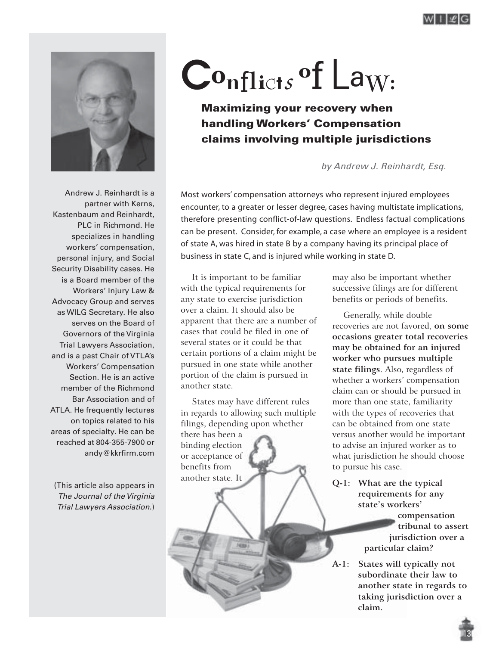

# **C**<sup>o</sup>**n**flict*<sup>s</sup>* <sup>o</sup>f L<sup>a</sup>w:

**Maximizing your recovery when handling Workers' Compensation claims involving multiple jurisdictions**

by Andrew J. Reinhardt, Esq.

Andrew J. Reinhardt is a partner with Kerns, Kastenbaum and Reinhardt, PLC in Richmond. He specializes in handling workers' compensation, personal injury, and Social Security Disability cases. He is a Board member of the Workers' Injury Law & Advocacy Group and serves as WILG Secretary. He also serves on the Board of Governors of the Virginia Trial Lawyers Association, and is a past Chair of VTLA's Workers' Compensation Section. He is an active member of the Richmond Bar Association and of ATLA. He frequently lectures on topics related to his areas of specialty. He can be reached at 804-355-7900 or andy@kkrfirm.com

(This article also appears in The Journal of the Virginia Trial Lawyers Association.)

Most workers' compensation attorneys who represent injured employees encounter, to a greater or lesser degree, cases having multistate implications, therefore presenting conflict-of-law questions. Endless factual complications can be present. Consider, for example, a case where an employee is a resident of state A, was hired in state B by a company having its principal place of business in state C, and is injured while working in state D.

It is important to be familiar with the typical requirements for any state to exercise jurisdiction over a claim. It should also be apparent that there are a number of cases that could be filed in one of several states or it could be that certain portions of a claim might be pursued in one state while another portion of the claim is pursued in another state.

States may have different rules in regards to allowing such multiple filings, depending upon whether there has been a binding election or acceptance of benefits from another state. It

**ASS** 

may also be important whether successive filings are for different benefits or periods of benefits.

Generally, while double recoveries are not favored, **on some occasions greater total recoveries may be obtained for an injured worker who pursues multiple state filings**. Also, regardless of whether a workers' compensation claim can or should be pursued in more than one state, familiarity with the types of recoveries that can be obtained from one state versus another would be important to advise an injured worker as to what jurisdiction he should choose to pursue his case.

**Q-1: What are the typical requirements for any state's workers'**

> **compensation tribunal to assert jurisdiction over a particular claim?**

**A-1: States will typically not subordinate their law to another state in regards to taking jurisdiction over a claim.**

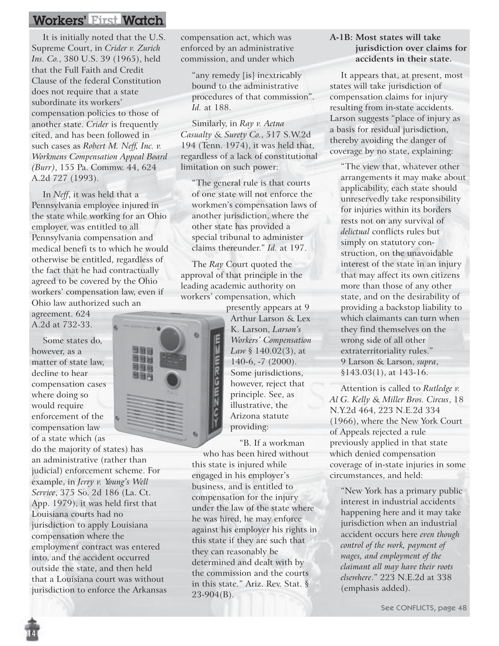It is initially noted that the U.S. Supreme Court, in *Crider v. Zurich Ins. Co.*, 380 U.S. 39 (1965), held that the Full Faith and Credit Clause of the federal Constitution does not require that a state subordinate its workers' compensation policies to those of another state. *Crider* is frequently cited, and has been followed in such cases as *Robert M. Neff, Inc. v. Workmens Compensation Appeal Board (Burr)*, 155 Pa. Commw. 44, 624 A.2d 727 (1993).

In *Neff*, it was held that a Pennsylvania employee injured in the state while working for an Ohio employer, was entitled to all Pennsylvania compensation and medical benefi ts to which he would otherwise be entitled, regardless of the fact that he had contractually agreed to be covered by the Ohio workers' compensation law, even if Ohio law authorized such an

agreement. 624 A.2d at 732-33.

Some states do, however, as a matter of state law, decline to hear compensation cases where doing so would require enforcement of the compensation law of a state which (as

do the majority of states) has an administrative (rather than judicial) enforcement scheme. For example, in *Jerry v. Young's Well Service*, 375 So. 2d 186 (La. Ct. App. 1979), it was held first that Louisiana courts had no jurisdiction to apply Louisiana compensation where the employment contract was entered into, and the accident occurred outside the state, and then held that a Louisiana court was without jurisdiction to enforce the Arkansas compensation act, which was enforced by an administrative commission, and under which

"any remedy [is] inextricably bound to the administrative procedures of that commission". *Id.* at 188.

Similarly, in *Ray v. Aetna Casualty & Surety Co.*, 517 S.W.2d 194 (Tenn. 1974), it was held that, regardless of a lack of constitutional limitation on such power:

"The general rule is that courts of one state will not enforce the workmen's compensation laws of another jurisdiction, where the other state has provided a special tribunal to administer claims thereunder." *Id.* at 197.

The *Ray* Court quoted the approval of that principle in the leading academic authority on workers' compensation, which

> presently appears at 9 Arthur Larson & Lex K. Larson, *Larson's Workers' Compensation Law* § 140.02(3), at 140-6, -7 (2000). Some jurisdictions, however, reject that principle. See, as illustrative, the Arizona statute providing:

"B. If a workman who has been hired without this state is injured while engaged in his employer's business, and is entitled to compensation for the injury under the law of the state where he was hired, he may enforce against his employer his rights in this state if they are such that they can reasonably be determined and dealt with by the commission and the courts in this state." Ariz. Rev. Stat. § 23-904(B).

#### **A-1B: Most states will take jurisdiction over claims for accidents in their state.**

It appears that, at present, most states will take jurisdiction of compensation claims for injury resulting from in-state accidents. Larson suggests "place of injury as a basis for residual jurisdiction, thereby avoiding the danger of coverage by no state, explaining:

"The view that, whatever other arrangements it may make about applicability, each state should unreservedly take responsibility for injuries within its borders rests not on any survival of *delictual* conflicts rules but simply on statutory construction, on the unavoidable interest of the state in an injury that may affect its own citizens more than those of any other state, and on the desirability of providing a backstop liability to which claimants can turn when they find themselves on the wrong side of all other extraterritoriality rules." 9 Larson & Larson, *supra*, §143.03(1), at 143-16.

Attention is called to *Rutledge v. Al G. Kelly & Miller Bros. Circus*, 18 N.Y.2d 464, 223 N.E.2d 334 (1966), where the New York Court of Appeals rejected a rule previously applied in that state which denied compensation coverage of in-state injuries in some circumstances, and held:

"New York has a primary public interest in industrial accidents happening here and it may take jurisdiction when an industrial accident occurs here *even though control of the work, payment of wages, and employment of the claimant all may have their roots elsewhere*." 223 N.E.2d at 338 (emphasis added).

See CONFLICTS, page 48

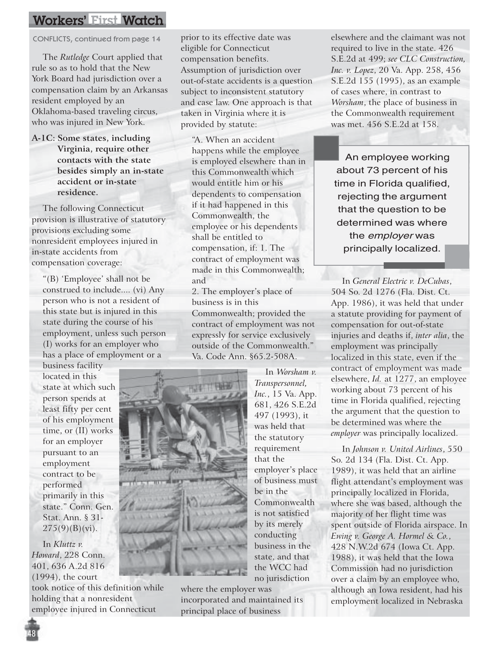CONFLICTS, continued from page 14

The *Rutledge* Court applied that rule so as to hold that the New York Board had jurisdiction over a compensation claim by an Arkansas resident employed by an Oklahoma-based traveling circus, who was injured in New York.

**A-1C: Some states, including Virginia, require other contacts with the state besides simply an in-state accident or in-state residence.**

The following Connecticut provision is illustrative of statutory provisions excluding some nonresident employees injured in in-state accidents from compensation coverage:

"(B) 'Employee' shall not be construed to include.... (vi) Any person who is not a resident of this state but is injured in this state during the course of his employment, unless such person (I) works for an employer who has a place of employment or a

business facility located in this state at which such person spends at least fifty per cent of his employment time, or (II) works for an employer pursuant to an employment contract to be performed primarily in this state." Conn. Gen. Stat. Ann. § 31-  $275(9)(B)(vi)$ .

In *Kluttz v. Howard*, 228 Conn. 401, 636 A.2d 816 (1994), the court

took notice of this definition while holding that a nonresident employee injured in Connecticut

prior to its effective date was eligible for Connecticut compensation benefits. Assumption of jurisdiction over out-of-state accidents is a question subject to inconsistent statutory and case law. One approach is that taken in Virginia where it is provided by statute:

"A. When an accident happens while the employee is employed elsewhere than in this Commonwealth which would entitle him or his dependents to compensation if it had happened in this Commonwealth, the employee or his dependents shall be entitled to compensation, if: 1. The contract of employment was made in this Commonwealth; and

2. The employer's place of business is in this Commonwealth; provided the contract of employment was not expressly for service exclusively outside of the Commonwealth." Va. Code Ann. §65.2-508A.

> In *Worsham v. Transpersonnel, Inc.*, 15 Va. App. 681, 426 S.E.2d 497 (1993), it was held that the statutory requirement that the

employer's place of business must

Commonwealth is not satisfied by its merely conducting business in the state, and that the WCC had

be in the



no jurisdiction where the employer was incorporated and maintained its principal place of business

elsewhere and the claimant was not required to live in the state. 426 S.E.2d at 499; *see CLC Construction, Inc. v. Lopez*, 20 Va. App. 258, 456 S.E.2d 155 (1995), as an example of cases where, in contrast to *Worsham*, the place of business in the Commonwealth requirement was met. 456 S.E.2d at 158.

An employee working about 73 percent of his time in Florida qualified, rejecting the argument that the question to be determined was where the employer was principally localized.

In *General Electric v. DeCubas*, 504 So. 2d 1276 (Fla. Dist. Ct. App. 1986), it was held that under a statute providing for payment of compensation for out-of-state injuries and deaths if, *inter alia*, the employment was principally localized in this state, even if the contract of employment was made elsewhere, *Id.* at 1277, an employee working about 73 percent of his time in Florida qualified, rejecting the argument that the question to be determined was where the *employer* was principally localized.

In *Johnson v. United Airlines*, 550 So. 2d 134 (Fla. Dist. Ct. App. 1989), it was held that an airline flight attendant's employment was principally localized in Florida, where she was based, although the majority of her flight time was spent outside of Florida airspace. In *Ewing v. George A. Hormel & Co.*, 428 N.W.2d 674 (Iowa Ct. App. 1988), it was held that the Iowa Commission had no jurisdiction over a claim by an employee who, although an Iowa resident, had his employment localized in Nebraska

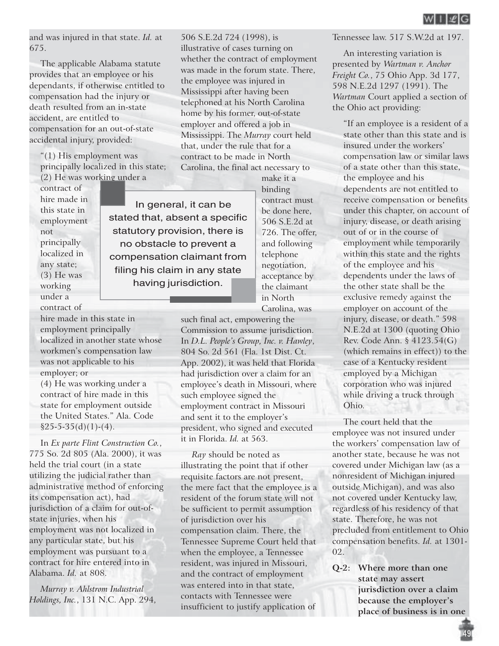and was injured in that state. *Id.* at 675.

The applicable Alabama statute provides that an employee or his dependants, if otherwise entitled to compensation had the injury or death resulted from an in-state accident, are entitled to compensation for an out-of-state accidental injury, provided:

"(1) His employment was principally localized in this state; (2) He was working under a

contract of hire made in this state in employment not principally localized in any state; (3) He was working under a contract of

hire made in this state in employment principally localized in another state whose workmen's compensation law was not applicable to his employer; or

(4) He was working under a contract of hire made in this state for employment outside the United States." Ala. Code  $§25-5-35(d)(1)-(4).$ 

In *Ex parte Flint Construction Co.*, 775 So. 2d 805 (Ala. 2000), it was held the trial court (in a state utilizing the judicial rather than administrative method of enforcing its compensation act), had jurisdiction of a claim for out-ofstate injuries, when his employment was not localized in any particular state, but his employment was pursuant to a contract for hire entered into in Alabama. *Id.* at 808.

*Murray v. Ahlstrom Industrial Holdings, Inc.*, 131 N.C. App. 294, 506 S.E.2d 724 (1998), is illustrative of cases turning on whether the contract of employment was made in the forum state. There, the employee was injured in Mississippi after having been telephoned at his North Carolina home by his former, out-of-state employer and offered a job in Mississippi. The *Murray* court held that, under the rule that for a contract to be made in North Carolina, the final act necessary to

In general, it can be stated that, absent a specific statutory provision, there is no obstacle to prevent a compensation claimant from filing his claim in any state having jurisdiction.

make it a binding contract must be done here, 506 S.E.2d at 726. The offer, and following telephone negotiation, acceptance by the claimant in North Carolina, was

such final act, empowering the Commission to assume jurisdiction. In *D.L. People's Group, Inc. v. Hawley*, 804 So. 2d 561 (Fla. 1st Dist. Ct. App. 2002), it was held that Florida had jurisdiction over a claim for an employee's death in Missouri, where such employee signed the employment contract in Missouri and sent it to the employer's president, who signed and executed it in Florida. *Id.* at 563.

*Ray* should be noted as illustrating the point that if other requisite factors are not present, the mere fact that the employee is a resident of the forum state will not be sufficient to permit assumption of jurisdiction over his compensation claim. There, the Tennessee Supreme Court held that when the employee, a Tennessee resident, was injured in Missouri, and the contract of employment was entered into in that state, contacts with Tennessee were insufficient to justify application of

Tennessee law. 517 S.W.2d at 197.

An interesting variation is presented by *Wartman v. Anchor Freight Co.*, 75 Ohio App. 3d 177, 598 N.E.2d 1297 (1991). The *Wartman* Court applied a section of the Ohio act providing:

"If an employee is a resident of a state other than this state and is insured under the workers' compensation law or similar laws of a state other than this state, the employee and his dependents are not entitled to receive compensation or benefits under this chapter, on account of injury, disease, or death arising out of or in the course of employment while temporarily within this state and the rights of the employee and his dependents under the laws of the other state shall be the exclusive remedy against the employer on account of the injury, disease, or death." 598 N.E.2d at 1300 (quoting Ohio Rev. Code Ann. § 4123.54(G) (which remains in effect)) to the case of a Kentucky resident employed by a Michigan corporation who was injured while driving a truck through Ohio.

The court held that the employee was not insured under the workers' compensation law of another state, because he was not covered under Michigan law (as a nonresident of Michigan injured outside Michigan), and was also not covered under Kentucky law, regardless of his residency of that state. Therefore, he was not precluded from entitlement to Ohio compensation benefits. *Id.* at 1301- 02.

**Q-2: Where more than one state may assert jurisdiction over a claim because the employer's place of business is in one**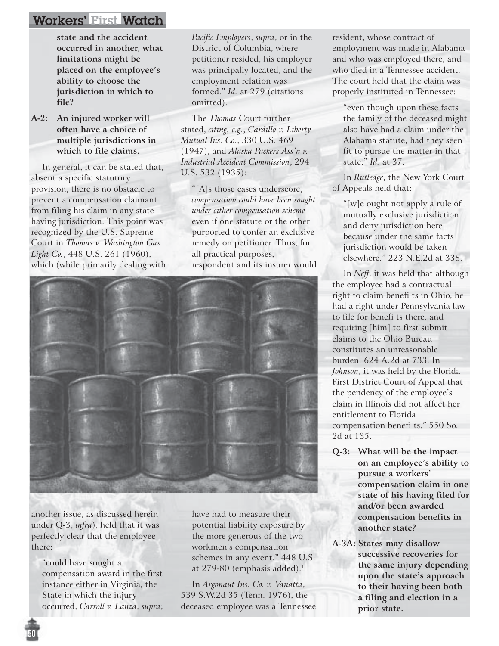**state and the accident occurred in another, what limitations might be placed on the employee's ability to choose the jurisdiction in which to file?**

**A-2: An injured worker will often have a choice of multiple jurisdictions in which to file claims.**

In general, it can be stated that, absent a specific statutory provision, there is no obstacle to prevent a compensation claimant from filing his claim in any state having jurisdiction. This point was recognized by the U.S. Supreme Court in *Thomas v. Washington Gas Light Co.*, 448 U.S. 261 (1960), which (while primarily dealing with *Pacific Employers*, *supra*, or in the District of Columbia, where petitioner resided, his employer was principally located, and the employment relation was formed." *Id.* at 279 (citations omitted).

The *Thomas* Court further stated, *citing, e.g.*, *Cardillo v. Liberty Mutual Ins. Co.*, 330 U.S. 469 (1947), and *Alaska Packers Ass'n v. Industrial Accident Commission*, 294 U.S. 532 (1935):

"[A]s those cases underscore, *compensation could have been sought under either compensation scheme* even if one statute or the other purported to confer an exclusive remedy on petitioner. Thus, for all practical purposes, respondent and its insurer would



another issue, as discussed herein under Q-3, *infra*), held that it was perfectly clear that the employee there:

"could have sought a compensation award in the first instance either in Virginia, the State in which the injury occurred, *Carroll v. Lanza*, *supra*; have had to measure their potential liability exposure by the more generous of the two workmen's compensation schemes in any event." 448 U.S. at 279-80 (emphasis added).<sup>1</sup>

In *Argonaut Ins. Co. v. Vanatta*, 539 S.W.2d 35 (Tenn. 1976), the deceased employee was a Tennessee resident, whose contract of employment was made in Alabama and who was employed there, and who died in a Tennessee accident. The court held that the claim was properly instituted in Tennessee:

"even though upon these facts the family of the deceased might also have had a claim under the Alabama statute, had they seen fit to pursue the matter in that state." *Id.* at 37.

In *Rutledge*, the New York Court of Appeals held that:

"[w]e ought not apply a rule of mutually exclusive jurisdiction and deny jurisdiction here because under the same facts jurisdiction would be taken elsewhere." 223 N.E.2d at 338.

In *Neff*, it was held that although the employee had a contractual right to claim benefi ts in Ohio, he had a right under Pennsylvania law to file for benefi ts there, and requiring [him] to first submit claims to the Ohio Bureau constitutes an unreasonable burden. 624 A.2d at 733. In *Johnson*, it was held by the Florida First District Court of Appeal that the pendency of the employee's claim in Illinois did not affect her entitlement to Florida compensation benefi ts." 550 So. 2d at 135.

- **Q-3: What will be the impact on an employee's ability to pursue a workers' compensation claim in one state of his having filed for and/or been awarded compensation benefits in another state?**
- **A-3A: States may disallow successive recoveries for the same injury depending upon the state's approach to their having been both a filing and election in a prior state.**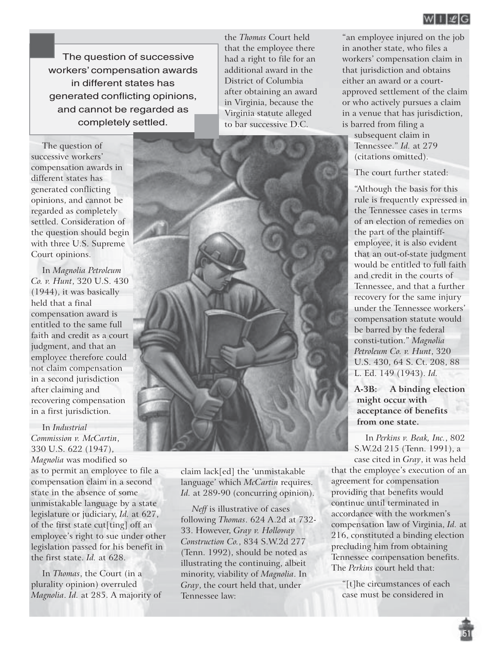

The question of successive workers' compensation awards in different states has generated conflicting opinions, and cannot be regarded as completely settled.

The question of successive workers' compensation awards in different states has generated conflicting opinions, and cannot be regarded as completely settled. Consideration of the question should begin with three U.S. Supreme Court opinions.

In *Magnolia Petroleum Co. v. Hunt*, 320 U.S. 430 (1944), it was basically held that a final compensation award is entitled to the same full faith and credit as a court judgment, and that an employee therefore could not claim compensation in a second jurisdiction after claiming and recovering compensation in a first jurisdiction.

In *Industrial Commission v. McCartin*, 330 U.S. 622 (1947),

*Magnolia* was modified so as to permit an employee to file a compensation claim in a second state in the absence of some unmistakable language by a state legislature or judiciary, *Id.* at 627, of the first state cut[ting] off an employee's right to sue under other legislation passed for his benefit in the first state. *Id.* at 628.

In *Thomas*, the Court (in a plurality opinion) overruled *Magnolia*. *Id.* at 285. A majority of the *Thomas* Court held that the employee there had a right to file for an additional award in the District of Columbia after obtaining an award in Virginia, because the Virginia statute alleged to bar successive D.C.

"an employee injured on the job in another state, who files a workers' compensation claim in that jurisdiction and obtains either an award or a courtapproved settlement of the claim or who actively pursues a claim in a venue that has jurisdiction, is barred from filing a subsequent claim in

Tennessee." *Id.* at 279 (citations omitted).

The court further stated:

"Although the basis for this rule is frequently expressed in the Tennessee cases in terms of an election of remedies on the part of the plaintiffemployee, it is also evident that an out-of-state judgment would be entitled to full faith and credit in the courts of Tennessee, and that a further recovery for the same injury under the Tennessee workers' compensation statute would be barred by the federal consti-tution." *Magnolia Petroleum Co. v. Hunt*, 320 U.S. 430, 64 S. Ct. 208, 88 L. Ed. 149 (1943). *Id.*

**A-3B: A binding election might occur with acceptance of benefits from one state.**

In *Perkins v. Beak, Inc.*, 802 S.W.2d 215 (Tenn. 1991), a

case cited in *Gray*, it was held that the employee's execution of an agreement for compensation providing that benefits would continue until terminated in accordance with the workmen's compensation law of Virginia, *Id.* at 216, constituted a binding election precluding him from obtaining Tennessee compensation benefits. The *Perkins* court held that:

"[t]he circumstances of each case must be considered in

51



claim lack[ed] the 'unmistakable language' which *McCartin* requires. Id. at 289-90 (concurring opinion).

*Neff* is illustrative of cases following *Thomas*. 624 A.2d at 732- 33. However, *Gray v. Holloway Construction Co.*, 834 S.W.2d 277 (Tenn. 1992), should be noted as illustrating the continuing, albeit minority, viability of *Magnolia*. In *Gray*, the court held that, under Tennessee law: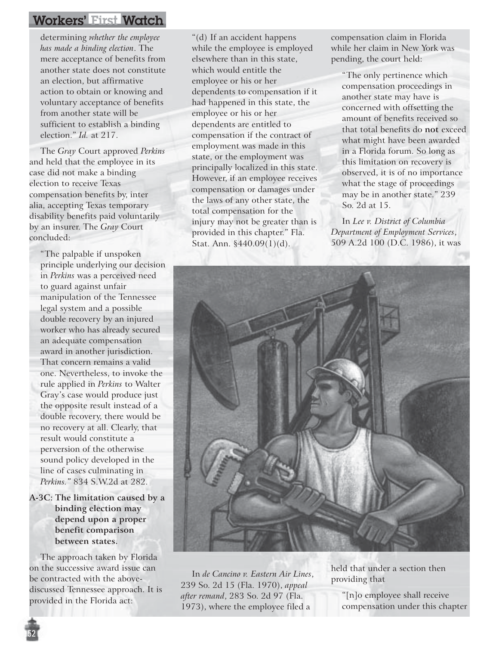determining *whether the employee has made a binding election*. The mere acceptance of benefits from another state does not constitute an election, but affirmative action to obtain or knowing and voluntary acceptance of benefits from another state will be sufficient to establish a binding election." *Id.* at 217.

The *Gray* Court approved *Perkins* and held that the employee in its case did not make a binding election to receive Texas compensation benefits by, inter alia, accepting Texas temporary disability benefits paid voluntarily by an insurer. The *Gray* Court concluded:

"The palpable if unspoken principle underlying our decision in *Perkins* was a perceived need to guard against unfair manipulation of the Tennessee legal system and a possible double recovery by an injured worker who has already secured an adequate compensation award in another jurisdiction. That concern remains a valid one. Nevertheless, to invoke the rule applied in *Perkins* to Walter Gray's case would produce just the opposite result instead of a double recovery, there would be no recovery at all. Clearly, that result would constitute a perversion of the otherwise sound policy developed in the line of cases culminating in *Perkins."* 834 S.W.2d at 282.

**A-3C: The limitation caused by a binding election may depend upon a proper benefit comparison between states.**

The approach taken by Florida on the successive award issue can be contracted with the abovediscussed Tennessee approach. It is provided in the Florida act:

52

"(d) If an accident happens while the employee is employed elsewhere than in this state, which would entitle the employee or his or her dependents to compensation if it had happened in this state, the employee or his or her dependents are entitled to compensation if the contract of employment was made in this state, or the employment was principally localized in this state. However, if an employee receives compensation or damages under the laws of any other state, the total compensation for the injury may not be greater than is provided in this chapter." Fla. Stat. Ann. §440.09(1)(d).

compensation claim in Florida while her claim in New York was pending, the court held:

"The only pertinence which compensation proceedings in another state may have is concerned with offsetting the amount of benefits received so that total benefits do **not** exceed what might have been awarded in a Florida forum. So long as this limitation on recovery is observed, it is of no importance what the stage of proceedings may be in another state." 239 So. 2d at 15.

In *Lee v. District of Columbia Department of Employment Services*, 509 A.2d 100 (D.C. 1986), it was



In *de Cancino v. Eastern Air Lines*, 239 So. 2d 15 (Fla. 1970), *appeal after remand*, 283 So. 2d 97 (Fla. 1973), where the employee filed a

held that under a section then providing that

"[n]o employee shall receive compensation under this chapter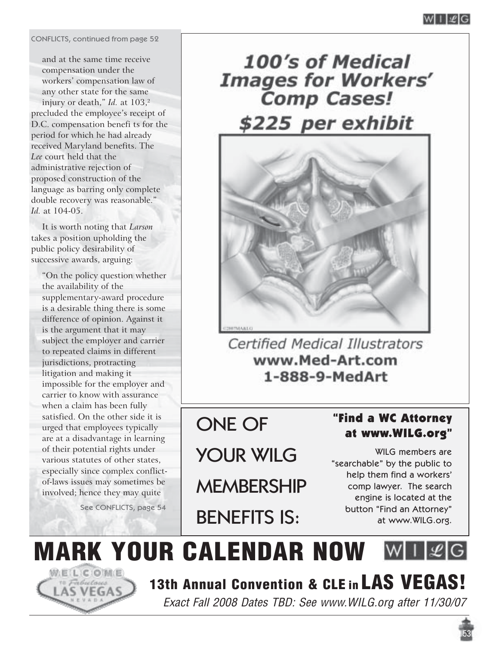CONFLICTS, continued from page 52

and at the same time receive compensation under the workers' compensation law of any other state for the same injury or death," *Id.* at 103,<sup>2</sup> precluded the employee's receipt of D.C. compensation benefi ts for the period for which he had already received Maryland benefits. The *Lee* court held that the administrative rejection of proposed construction of the language as barring only complete double recovery was reasonable." *Id.* at 104-05.

It is worth noting that *Larson* takes a position upholding the public policy desirability of successive awards, arguing:

"On the policy question whether the availability of the supplementary-award procedure is a desirable thing there is some difference of opinion. Against it is the argument that it may subject the employer and carrier to repeated claims in different jurisdictions, protracting litigation and making it impossible for the employer and carrier to know with assurance when a claim has been fully satisfied. On the other side it is urged that employees typically are at a disadvantage in learning of their potential rights under various statutes of other states, especially since complex conflictof-laws issues may sometimes be involved; hence they may quite

See CONFLICTS, page 54



100's of Medical **Images for Workers' Comp Cases!** \$225 per exhibit



Certified Medical Illustrators www.Med-Art.com 1-888-9-MedArt

# ONE OF

YOUR WILG

**MEMBERSHIP** 

BENEFITS IS:

### "Find a WC Attorney at www.WILG.org"

WILG members are "searchable" by the public to help them find a workers' comp lawyer. The search engine is located at the button "Find an Attorney" at www.WILG.org.

**MARK YOUR CALENDAR NOW WILZG 13th Annual Convention & CLE in LAS VEGAS!**

Exact Fall 2008 Dates TBD: See www.WILG.org after 11/30/07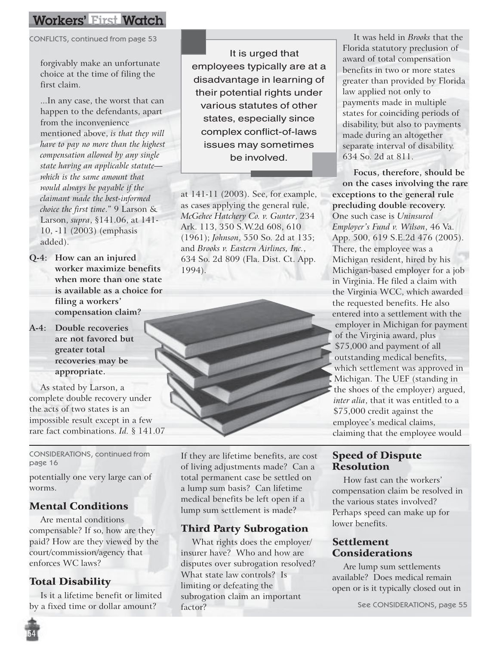CONFLICTS, continued from page 53

forgivably make an unfortunate choice at the time of filing the first claim.

...In any case, the worst that can happen to the defendants, apart from the inconvenience mentioned above, *is that they will have to pay no more than the highest compensation allowed by any single state having an applicable statute which is the same amount that would always be payable if the claimant made the best-informed choice the first time*." 9 Larson & Larson, *supra*, §141.06, at 141- 10, -11 (2003) (emphasis added).

- **Q-4: How can an injured worker maximize benefits when more than one state is available as a choice for filing a workers' compensation claim?**
- **A-4: Double recoveries are not favored but greater total recoveries may be appropriate.**

As stated by Larson, a complete double recovery under the acts of two states is an impossible result except in a few rare fact combinations. *Id.* § 141.07

CONSIDERATIONS, continued from

potentially one very large can of worms.

#### Mental Conditions

Are mental conditions compensable? If so, how are they paid? How are they viewed by the court/commission/agency that enforces WC laws?

#### Total Disability

Is it a lifetime benefit or limited by a fixed time or dollar amount?

It is urged that employees typically are at a disadvantage in learning of their potential rights under various statutes of other states, especially since complex conflict-of-laws issues may sometimes be involved.

at 141-11 (2003). See, for example, as cases applying the general rule, *McGehee Hatchery Co. v. Gunter*, 234 Ark. 113, 350 S.W.2d 608, 610 (1961); *Johnson*, 550 So. 2d at 135; and *Brooks v. Eastern Airlines, Inc.*, 634 So. 2d 809 (Fla. Dist. Ct. App. 1994).



 $\frac{1}{2}$  CONSIDERATIONS, continued from  $\frac{1}{2}$  If they are lifetime benefits, are cost page 16 of living adjustments made? Can a total permanent case be settled on a lump sum basis? Can lifetime medical benefits be left open if a lump sum settlement is made?

#### Third Party Subrogation

What rights does the employer/ insurer have? Who and how are disputes over subrogation resolved? What state law controls? Is limiting or defeating the subrogation claim an important factor?

It was held in *Brooks* that the Florida statutory preclusion of award of total compensation benefits in two or more states greater than provided by Florida law applied not only to payments made in multiple states for coinciding periods of disability, but also to payments made during an altogether separate interval of disability. 634 So. 2d at 811.

**Focus, therefore, should be on the cases involving the rare exceptions to the general rule precluding double recovery.** One such case is *Uninsured Employer's Fund v. Wilson*, 46 Va. App. 500, 619 S.E.2d 476 (2005). There, the employee was a Michigan resident, hired by his Michigan-based employer for a job in Virginia. He filed a claim with the Virginia WCC, which awarded the requested benefits. He also entered into a settlement with the employer in Michigan for payment of the Virginia award, plus \$75,000 and payment of all outstanding medical benefits, which settlement was approved in Michigan. The UEF (standing in the shoes of the employer) argued, *inter alia*, that it was entitled to a \$75,000 credit against the employee's medical claims, claiming that the employee would

#### Speed of Dispute Resolution

How fast can the workers' compensation claim be resolved in the various states involved? Perhaps speed can make up for lower benefits.

#### Settlement Considerations

Are lump sum settlements available? Does medical remain open or is it typically closed out in

See CONSIDERATIONS, page 55

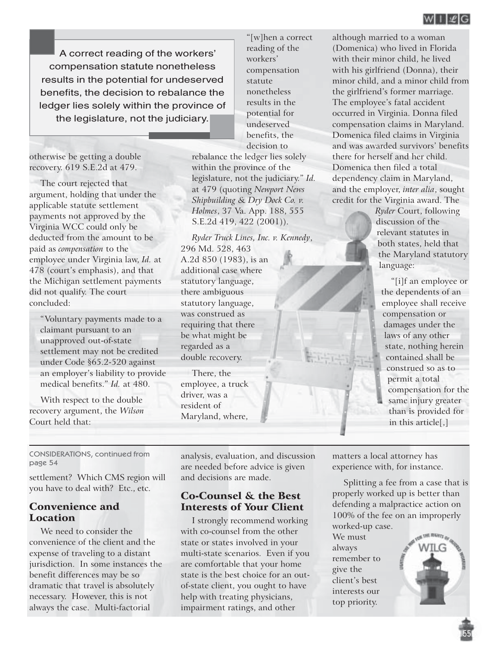A correct reading of the workers' compensation statute nonetheless results in the potential for undeserved benefits, the decision to rebalance the ledger lies solely within the province of the legislature, not the judiciary.

otherwise be getting a double recovery. 619 S.E.2d at 479.

The court rejected that argument, holding that under the applicable statute settlement payments not approved by the Virginia WCC could only be deducted from the amount to be paid as *compensation* to the employee under Virginia law, *Id.* at 478 (court's emphasis), and that the Michigan settlement payments did not qualify. The court concluded:

"Voluntary payments made to a claimant pursuant to an unapproved out-of-state settlement may not be credited under Code §65.2-520 against an employer's liability to provide medical benefits." *Id.* at 480.

With respect to the double recovery argument, the *Wilson* Court held that:

"[w]hen a correct reading of the workers' compensation statute nonetheless results in the potential for undeserved benefits, the decision to

rebalance the ledger lies solely within the province of the legislature, not the judiciary." *Id.* at 479 (quoting *Newport News Shipbuilding & Dry Dock Co. v. Holmes*, 37 Va. App. 188, 555 S.E.2d 419, 422 (2001)).

*Ryder Truck Lines, Inc. v. Kennedy*, 296 Md. 528, 463 A.2d 850 (1983), is an additional case where statutory language, there ambiguous statutory language, was construed as requiring that there be what might be regarded as a double recovery.

There, the employee, a truck driver, was a resident of Maryland, where, although married to a woman (Domenica) who lived in Florida with their minor child, he lived with his girlfriend (Donna), their minor child, and a minor child from the girlfriend's former marriage. The employee's fatal accident occurred in Virginia. Donna filed compensation claims in Maryland. Domenica filed claims in Virginia and was awarded survivors' benefits there for herself and her child. Domenica then filed a total dependency claim in Maryland, and the employer, *inter alia*, sought credit for the Virginia award. The

> *Ryder* Court, following discussion of the relevant statutes in both states, held that the Maryland statutory language:

"[i]f an employee or the dependents of an employee shall receive compensation or damages under the laws of any other state, nothing herein contained shall be construed so as to permit a total compensation for the same injury greater than is provided for in this article[,]

CONSIDERATIONS, continued from page 54

settlement? Which CMS region will you have to deal with? Etc., etc.

#### Convenience and Location

We need to consider the convenience of the client and the expense of traveling to a distant jurisdiction. In some instances the benefit differences may be so dramatic that travel is absolutely necessary. However, this is not always the case. Multi-factorial

analysis, evaluation, and discussion are needed before advice is given and decisions are made.

#### Co-Counsel & the Best Interests of Your Client

I strongly recommend working with co-counsel from the other state or states involved in your multi-state scenarios. Even if you are comfortable that your home state is the best choice for an outof-state client, you ought to have help with treating physicians, impairment ratings, and other

matters a local attorney has experience with, for instance.

Splitting a fee from a case that is properly worked up is better than defending a malpractice action on 100% of the fee on an improperly worked-up case.

We must always remember to give the client's best interests our top priority.

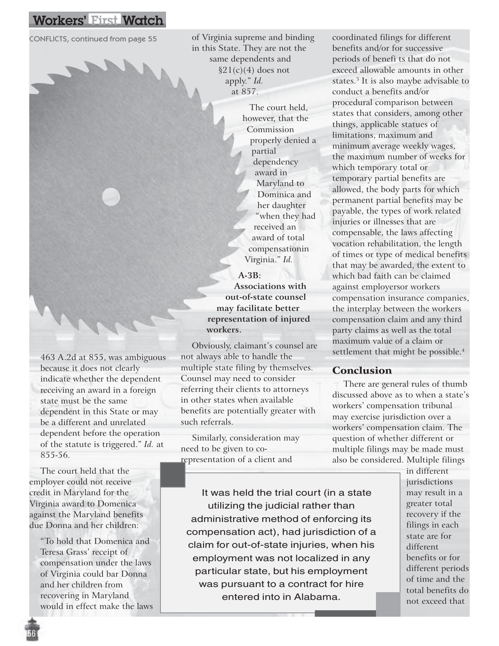of Virginia supreme and binding in this State. They are not the same dependents and  $$21(c)(4)$  does not apply." *Id.* at 857. CONFLICTS, continued from page 55 of Virginia supreme and binding coordinated filings for different

> The court held, however, that the Commission properly denied a partial dependency award in Maryland to Dominica and her daughter "when they had received an award of total compensationin Virginia." *Id.*

**A-3B: Associations with out-of-state counsel may facilitate better representation of injured workers.**

Obviously, claimant's counsel are not always able to handle the multiple state filing by themselves. Counsel may need to consider referring their clients to attorneys in other states when available benefits are potentially greater with such referrals.

Similarly, consideration may need to be given to corepresentation of a client and

benefits and/or for successive periods of benefi ts that do not exceed allowable amounts in other states.3 It is also maybe advisable to conduct a benefits and/or procedural comparison between states that considers, among other things, applicable statues of limitations, maximum and minimum average weekly wages, the maximum number of weeks for which temporary total or temporary partial benefits are allowed, the body parts for which permanent partial benefits may be payable, the types of work related injuries or illnesses that are compensable, the laws affecting vocation rehabilitation, the length of times or type of medical benefits that may be awarded, the extent to which bad faith can be claimed against employersor workers compensation insurance companies, the interplay between the workers compensation claim and any third party claims as well as the total maximum value of a claim or settlement that might be possible.<sup>4</sup>

#### Conclusion

There are general rules of thumb discussed above as to when a state's workers' compensation tribunal may exercise jurisdiction over a workers' compensation claim. The question of whether different or multiple filings may be made must also be considered. Multiple filings

It was held the trial court (in a state utilizing the judicial rather than administrative method of enforcing its compensation act), had jurisdiction of a claim for out-of-state injuries, when his employment was not localized in any particular state, but his employment was pursuant to a contract for hire entered into in Alabama.

in different jurisdictions may result in a greater total recovery if the filings in each state are for different benefits or for different periods of time and the total benefits do not exceed that

463 A.2d at 855, was ambiguous because it does not clearly indicate whether the dependent receiving an award in a foreign state must be the same dependent in this State or may be a different and unrelated dependent before the operation of the statute is triggered." *Id.* at 855-56.

The court held that the employer could not receive credit in Maryland for the Virginia award to Domenica against the Maryland benefits due Donna and her children:

"To hold that Domenica and Teresa Grass' receipt of compensation under the laws of Virginia could bar Donna and her children from recovering in Maryland would in effect make the laws